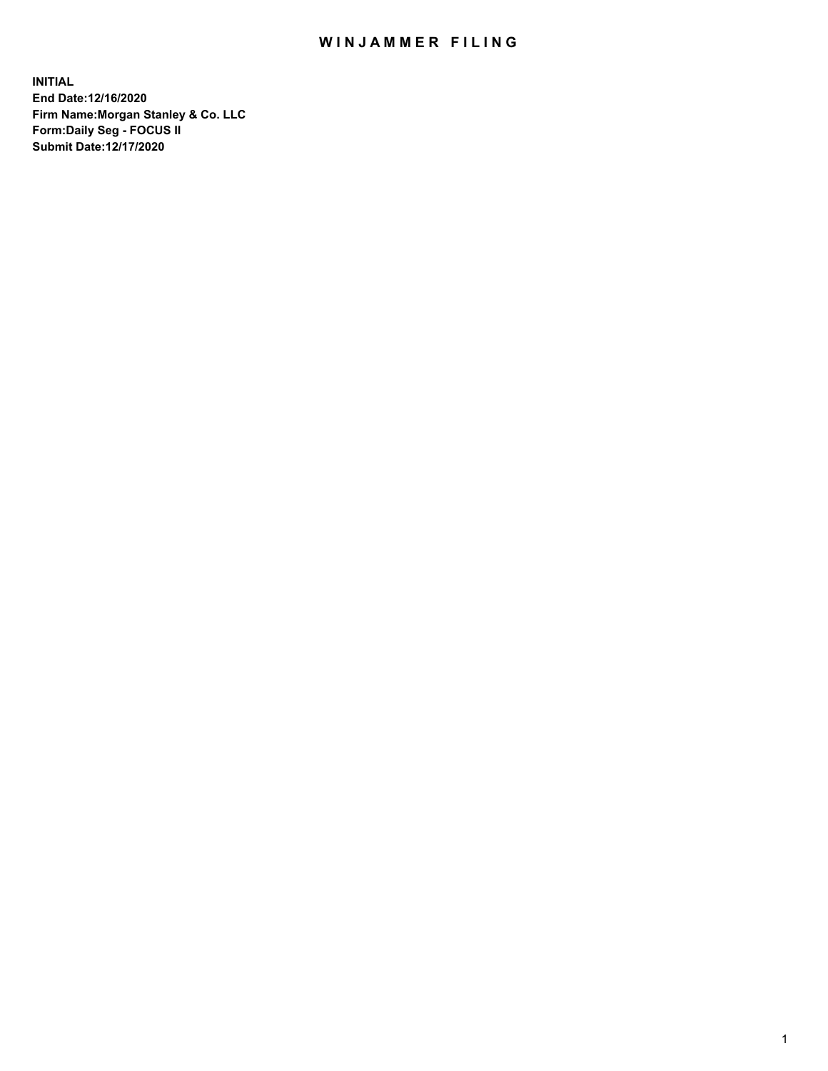## WIN JAMMER FILING

**INITIAL End Date:12/16/2020 Firm Name:Morgan Stanley & Co. LLC Form:Daily Seg - FOCUS II Submit Date:12/17/2020**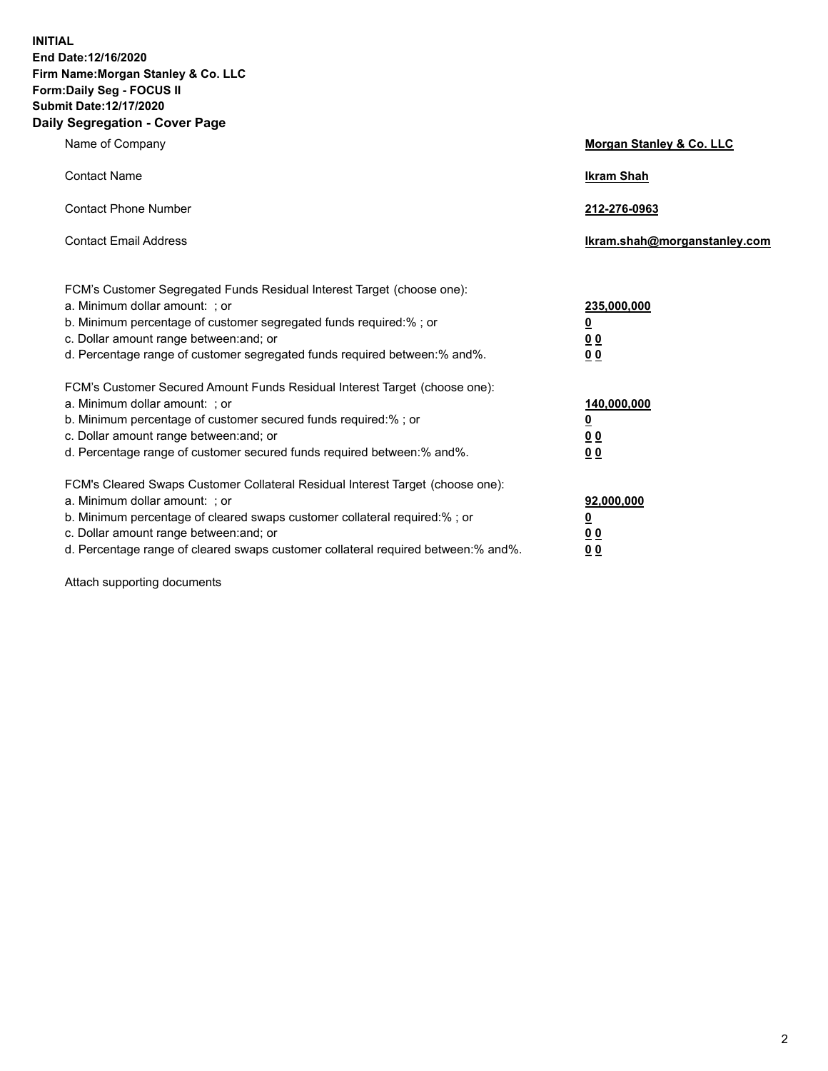**INITIAL End Date:12/16/2020 Firm Name:Morgan Stanley & Co. LLC Form:Daily Seg - FOCUS II Submit Date:12/17/2020 Daily Segregation - Cover Page**

| Name of Company                                                                                                                                                                                                                                                                                                                | Morgan Stanley & Co. LLC                               |
|--------------------------------------------------------------------------------------------------------------------------------------------------------------------------------------------------------------------------------------------------------------------------------------------------------------------------------|--------------------------------------------------------|
| <b>Contact Name</b>                                                                                                                                                                                                                                                                                                            | <b>Ikram Shah</b>                                      |
| <b>Contact Phone Number</b>                                                                                                                                                                                                                                                                                                    | 212-276-0963                                           |
| <b>Contact Email Address</b>                                                                                                                                                                                                                                                                                                   | Ikram.shah@morganstanley.com                           |
| FCM's Customer Segregated Funds Residual Interest Target (choose one):<br>a. Minimum dollar amount: ; or<br>b. Minimum percentage of customer segregated funds required:% ; or<br>c. Dollar amount range between: and; or<br>d. Percentage range of customer segregated funds required between: % and %.                       | 235,000,000<br><u>0</u><br>00<br>0 <sub>0</sub>        |
| FCM's Customer Secured Amount Funds Residual Interest Target (choose one):<br>a. Minimum dollar amount: ; or<br>b. Minimum percentage of customer secured funds required:%; or<br>c. Dollar amount range between: and; or<br>d. Percentage range of customer secured funds required between:% and%.                            | 140,000,000<br><u>0</u><br><u>00</u><br>0 <sub>0</sub> |
| FCM's Cleared Swaps Customer Collateral Residual Interest Target (choose one):<br>a. Minimum dollar amount: ; or<br>b. Minimum percentage of cleared swaps customer collateral required:% ; or<br>c. Dollar amount range between: and; or<br>d. Percentage range of cleared swaps customer collateral required between:% and%. | 92,000,000<br><u>0</u><br><u>00</u><br>0 <sub>0</sub>  |

Attach supporting documents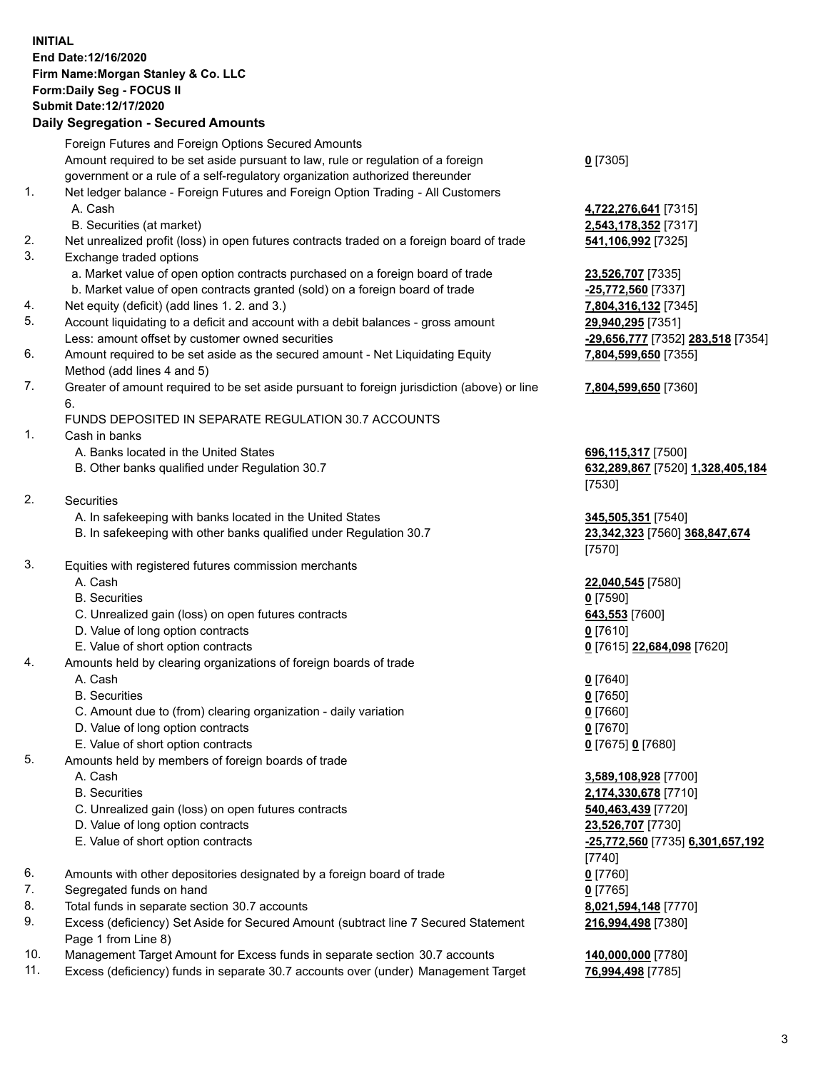## **INITIAL End Date:12/16/2020 Firm Name:Morgan Stanley & Co. LLC Form:Daily Seg - FOCUS II Submit Date:12/17/2020**

## **Daily Segregation - Secured Amounts**

|    | Foreign Futures and Foreign Options Secured Amounts                                                        |                                         |
|----|------------------------------------------------------------------------------------------------------------|-----------------------------------------|
|    | Amount required to be set aside pursuant to law, rule or regulation of a foreign                           | $0$ [7305]                              |
|    | government or a rule of a self-regulatory organization authorized thereunder                               |                                         |
| 1. | Net ledger balance - Foreign Futures and Foreign Option Trading - All Customers                            |                                         |
|    | A. Cash                                                                                                    | 4,722,276,641 [7315]                    |
|    | B. Securities (at market)                                                                                  | 2,543,178,352 [7317]                    |
| 2. | Net unrealized profit (loss) in open futures contracts traded on a foreign board of trade                  | 541,106,992 [7325]                      |
| 3. | Exchange traded options                                                                                    |                                         |
|    | a. Market value of open option contracts purchased on a foreign board of trade                             | 23,526,707 [7335]                       |
|    | b. Market value of open contracts granted (sold) on a foreign board of trade                               | -25,772,560 [7337]                      |
| 4. | Net equity (deficit) (add lines 1. 2. and 3.)                                                              | 7,804,316,132 [7345]                    |
| 5. | Account liquidating to a deficit and account with a debit balances - gross amount                          | 29,940,295 [7351]                       |
|    | Less: amount offset by customer owned securities                                                           | -29,656,777 [7352] 283,518 [7354]       |
| 6. | Amount required to be set aside as the secured amount - Net Liquidating Equity                             | 7,804,599,650 [7355]                    |
|    | Method (add lines 4 and 5)                                                                                 |                                         |
| 7. | Greater of amount required to be set aside pursuant to foreign jurisdiction (above) or line                | 7,804,599,650 [7360]                    |
|    | 6.                                                                                                         |                                         |
|    | FUNDS DEPOSITED IN SEPARATE REGULATION 30.7 ACCOUNTS                                                       |                                         |
| 1. | Cash in banks                                                                                              |                                         |
|    | A. Banks located in the United States                                                                      | 696,115,317 [7500]                      |
|    | B. Other banks qualified under Regulation 30.7                                                             | 632,289,867 [7520] 1,328,405,184        |
|    |                                                                                                            | [7530]                                  |
| 2. | <b>Securities</b>                                                                                          |                                         |
|    | A. In safekeeping with banks located in the United States                                                  | 345,505,351 [7540]                      |
|    | B. In safekeeping with other banks qualified under Regulation 30.7                                         | 23,342,323 [7560] 368,847,674<br>[7570] |
| 3. | Equities with registered futures commission merchants                                                      |                                         |
|    | A. Cash                                                                                                    | 22,040,545 [7580]                       |
|    | <b>B.</b> Securities                                                                                       | $0$ [7590]                              |
|    | C. Unrealized gain (loss) on open futures contracts                                                        | 643,553 [7600]                          |
|    | D. Value of long option contracts                                                                          | $0$ [7610]                              |
|    | E. Value of short option contracts                                                                         | 0 [7615] 22,684,098 [7620]              |
| 4. | Amounts held by clearing organizations of foreign boards of trade                                          |                                         |
|    | A. Cash                                                                                                    | $0$ [7640]                              |
|    | <b>B.</b> Securities                                                                                       | $0$ [7650]                              |
|    | C. Amount due to (from) clearing organization - daily variation                                            | $0$ [7660]                              |
|    | D. Value of long option contracts                                                                          | $0$ [7670]                              |
|    | E. Value of short option contracts                                                                         | 0 [7675] 0 [7680]                       |
| 5. | Amounts held by members of foreign boards of trade                                                         |                                         |
|    | A. Cash                                                                                                    |                                         |
|    | <b>B.</b> Securities                                                                                       | 3,589,108,928 [7700]                    |
|    | C. Unrealized gain (loss) on open futures contracts                                                        | 2,174,330,678 [7710]                    |
|    |                                                                                                            | 540,463,439 [7720]                      |
|    | D. Value of long option contracts                                                                          | 23,526,707 [7730]                       |
|    | E. Value of short option contracts                                                                         | -25,772,560 [7735] 6,301,657,192        |
|    |                                                                                                            | [7740]                                  |
| 6. | Amounts with other depositories designated by a foreign board of trade                                     | $0$ [7760]                              |
| 7. | Segregated funds on hand                                                                                   | $0$ [7765]                              |
| 8. | Total funds in separate section 30.7 accounts                                                              | 8,021,594,148 [7770]                    |
| 9. | Excess (deficiency) Set Aside for Secured Amount (subtract line 7 Secured Statement<br>Page 1 from Line 8) | 216,994,498 [7380]                      |

- 10. Management Target Amount for Excess funds in separate section 30.7 accounts **140,000,000** [7780]
- 11. Excess (deficiency) funds in separate 30.7 accounts over (under) Management Target **76,994,498** [7785]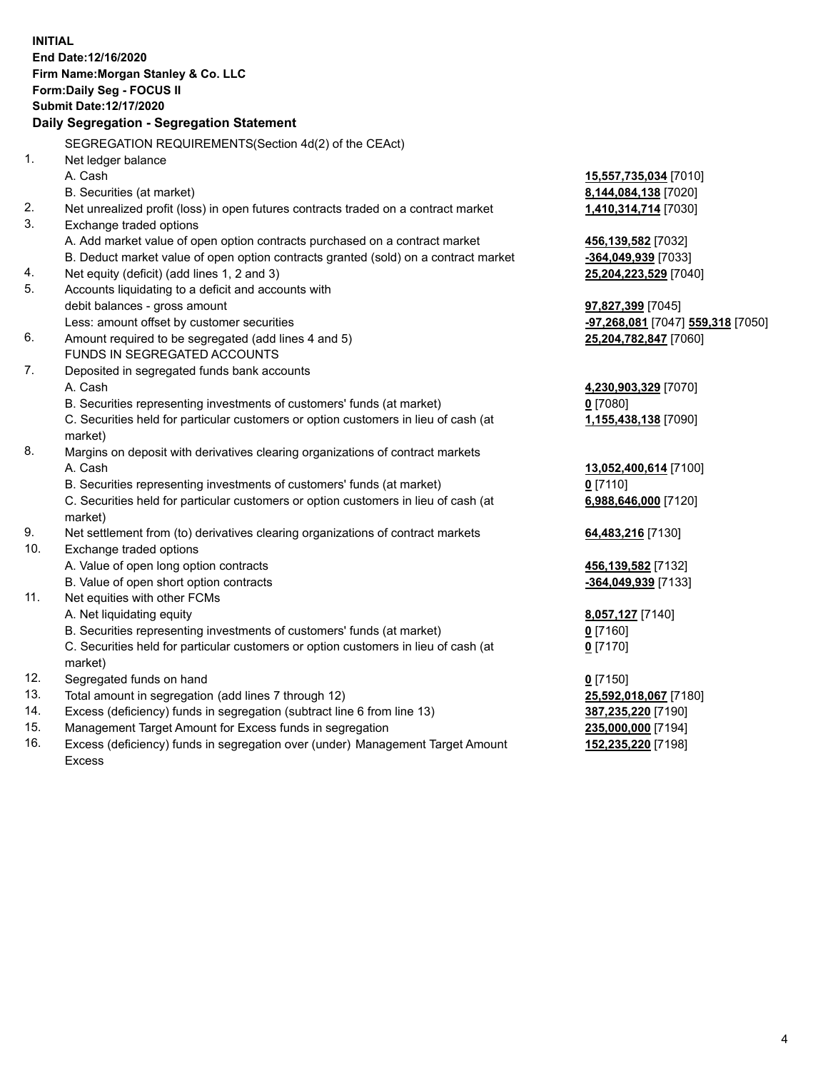**INITIAL End Date:12/16/2020 Firm Name:Morgan Stanley & Co. LLC Form:Daily Seg - FOCUS II Submit Date:12/17/2020 Daily Segregation - Segregation Statement** SEGREGATION REQUIREMENTS(Section 4d(2) of the CEAct) 1. Net ledger balance A. Cash **15,557,735,034** [7010] B. Securities (at market) **8,144,084,138** [7020] 2. Net unrealized profit (loss) in open futures contracts traded on a contract market **1,410,314,714** [7030] 3. Exchange traded options A. Add market value of open option contracts purchased on a contract market **456,139,582** [7032] B. Deduct market value of open option contracts granted (sold) on a contract market **-364,049,939** [7033] 4. Net equity (deficit) (add lines 1, 2 and 3) **25,204,223,529** [7040] 5. Accounts liquidating to a deficit and accounts with debit balances - gross amount **97,827,399** [7045] Less: amount offset by customer securities **-97,268,081** [7047] **559,318** [7050] 6. Amount required to be segregated (add lines 4 and 5) **25,204,782,847** [7060] FUNDS IN SEGREGATED ACCOUNTS 7. Deposited in segregated funds bank accounts A. Cash **4,230,903,329** [7070] B. Securities representing investments of customers' funds (at market) **0** [7080] C. Securities held for particular customers or option customers in lieu of cash (at market) **1,155,438,138** [7090] 8. Margins on deposit with derivatives clearing organizations of contract markets A. Cash **13,052,400,614** [7100] B. Securities representing investments of customers' funds (at market) **0** [7110] C. Securities held for particular customers or option customers in lieu of cash (at market) **6,988,646,000** [7120] 9. Net settlement from (to) derivatives clearing organizations of contract markets **64,483,216** [7130] 10. Exchange traded options A. Value of open long option contracts **456,139,582** [7132] B. Value of open short option contracts **-364,049,939** [7133] 11. Net equities with other FCMs A. Net liquidating equity **8,057,127** [7140] B. Securities representing investments of customers' funds (at market) **0** [7160] C. Securities held for particular customers or option customers in lieu of cash (at market) **0** [7170] 12. Segregated funds on hand **0** [7150] 13. Total amount in segregation (add lines 7 through 12) **25,592,018,067** [7180] 14. Excess (deficiency) funds in segregation (subtract line 6 from line 13) **387,235,220** [7190] 15. Management Target Amount for Excess funds in segregation **235,000,000** [7194] **152,235,220** [7198]

16. Excess (deficiency) funds in segregation over (under) Management Target Amount Excess